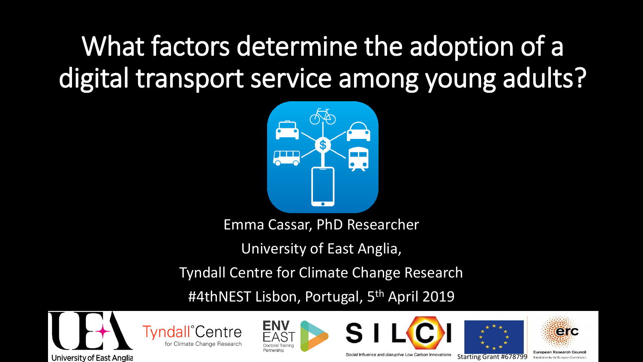#### What factors determine the adoption of a digital transport service among young adults?



Emma Cassar, PhD Researcher

University of East Anglia,

Tyndall Centre for Climate Change Research

#4thNEST Lisbon, Portugal, 5<sup>th</sup> April 2019















Social Influence and *disruptive* Low Carbon Innovations Starting Grant #678799

European Research Counci Established by the European Co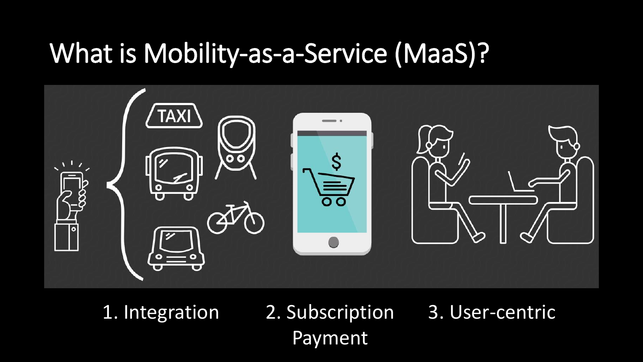#### What is Mobility-as-a-Service (MaaS)?



1. Integration 2. Subscription Payment 3. User-centric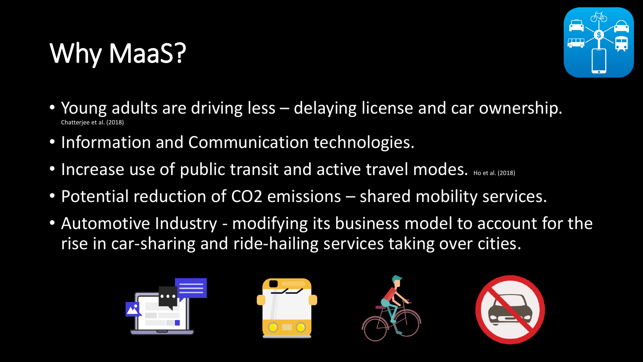## Why MaaS?



- Young adults are driving less delaying license and car ownership. Chatterjee et al. (2018)
- Information and Communication technologies.
- Increase use of public transit and active travel modes. Ho et al. (2018)
- Potential reduction of CO2 emissions shared mobility services.
- Automotive Industry modifying its business model to account for the rise in car-sharing and ride-hailing services taking over cities.

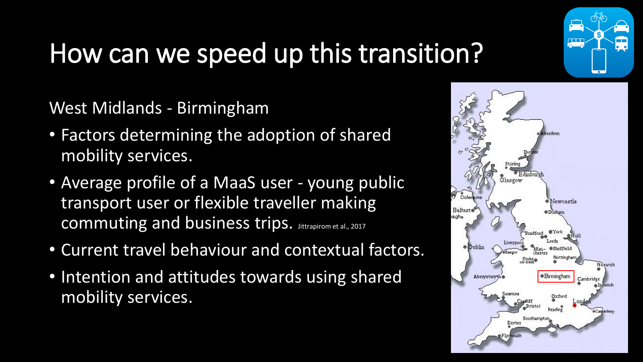

## How can we speed up this transition?

West Midlands - Birmingham

- Factors determining the adoption of shared mobility services.
- Average profile of a MaaS user young public transport user or flexible traveller making commuting and business trips. Jittrapirom et al., 2017
- Current travel behaviour and contextual factors.
- Intention and attitudes towards using shared mobility services.

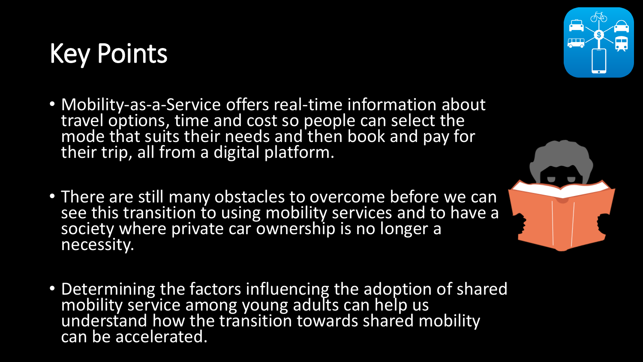### Key Points

- Mobility-as-a-Service offers real-time information about travel options, time and cost so people can select the mode that suits their needs and then book and pay for their trip, all from a digital platform.
- There are still many obstacles to overcome before we can see this transition to using mobility services and to have a society where private car ownership is no longer a necessity.
- Determining the factors influencing the adoption of shared mobility service among young adults can help us understand how the transition towards shared mobility can be accelerated.